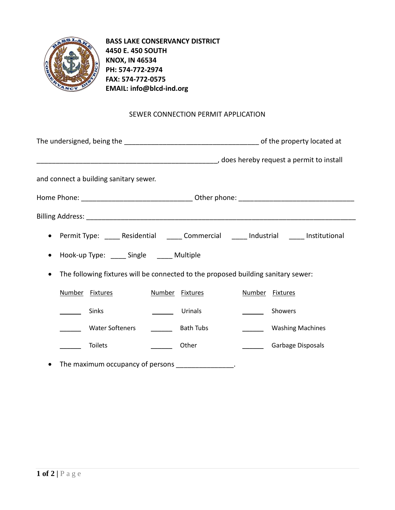

**BASS LAKE CONSERVANCY DISTRICT 4450 E. 450 SOUTH KNOX, IN 46534 PH: 574-772-2974 FAX: 574-772-0575 EMAIL: info@blcd-ind.org**

## SEWER CONNECTION PERMIT APPLICATION

| does hereby request a permit to install model in the manner continuing to the manner of the manner of the mann |  |                  |                 |                         |  |
|----------------------------------------------------------------------------------------------------------------|--|------------------|-----------------|-------------------------|--|
| and connect a building sanitary sewer.                                                                         |  |                  |                 |                         |  |
|                                                                                                                |  |                  |                 |                         |  |
|                                                                                                                |  |                  |                 |                         |  |
| Permit Type: _____ Residential ______ Commercial _____ Industrial _____ Institutional<br>$\bullet$             |  |                  |                 |                         |  |
| Hook-up Type: ______ Single ______ Multiple<br>$\bullet$                                                       |  |                  |                 |                         |  |
| The following fixtures will be connected to the proposed building sanitary sewer:<br>$\bullet$                 |  |                  |                 |                         |  |
| Number Fixtures                                                                                                |  | Number Fixtures  | Number Fixtures |                         |  |
| Sinks                                                                                                          |  | Urinals          |                 | Showers                 |  |
| <b>Water Softeners</b>                                                                                         |  | <b>Bath Tubs</b> |                 | <b>Washing Machines</b> |  |
| <b>Toilets</b>                                                                                                 |  | Other            |                 | Garbage Disposals       |  |
| The maximum occupancy of persons                                                                               |  |                  |                 |                         |  |